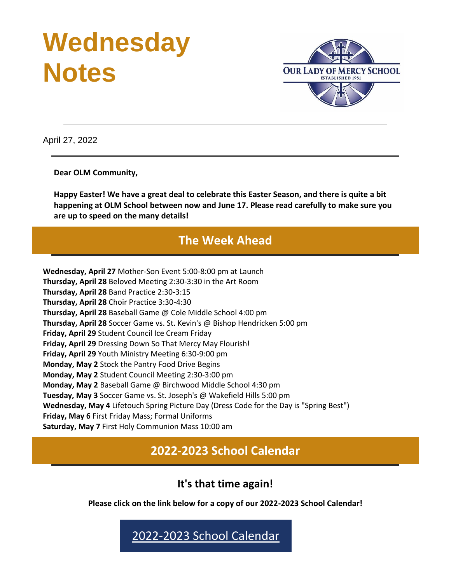# **Wednesday Notes**



April 27, 2022

**Dear OLM Community,**

**Happy Easter! We have a great deal to celebrate this Easter Season, and there is quite a bit happening at OLM School between now and June 17. Please read carefully to make sure you are up to speed on the many details!**

# **The Week Ahead**

**Wednesday, April 27** Mother-Son Event 5:00-8:00 pm at Launch **Thursday, April 28** Beloved Meeting 2:30-3:30 in the Art Room **Thursday, April 28** Band Practice 2:30-3:15 **Thursday, April 28** Choir Practice 3:30-4:30 **Thursday, April 28** Baseball Game @ Cole Middle School 4:00 pm **Thursday, April 28** Soccer Game vs. St. Kevin's @ Bishop Hendricken 5:00 pm **Friday, April 29** Student Council Ice Cream Friday **Friday, April 29** Dressing Down So That Mercy May Flourish! **Friday, April 29** Youth Ministry Meeting 6:30-9:00 pm **Monday, May 2** Stock the Pantry Food Drive Begins **Monday, May 2** Student Council Meeting 2:30-3:00 pm **Monday, May 2** Baseball Game @ Birchwood Middle School 4:30 pm **Tuesday, May 3** Soccer Game vs. St. Joseph's @ Wakefield Hills 5:00 pm **Wednesday, May 4** Lifetouch Spring Picture Day (Dress Code for the Day is "Spring Best") **Friday, May 6** First Friday Mass; Formal Uniforms **Saturday, May 7** First Holy Communion Mass 10:00 am

**2022-2023 School Calendar**

**It's that time again!**

**Please click on the link below for a copy of our 2022-2023 School Calendar!**

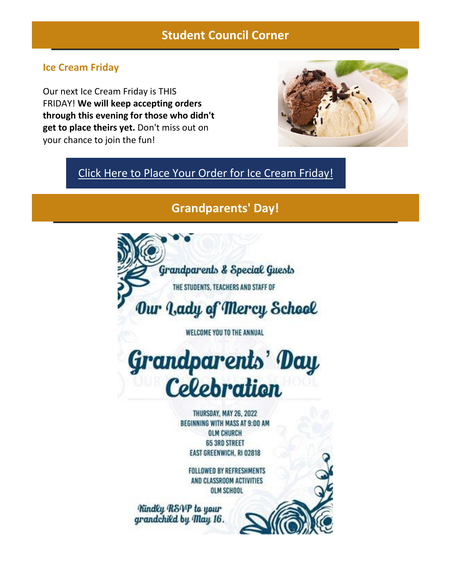# **Student Council Corner**

### **Ice Cream Friday**

Our next Ice Cream Friday is THIS FRIDAY! **We will keep accepting orders through this evening for those who didn't get to place theirs yet.** Don't miss out on your chance to join the fun!



## [Click Here to Place Your Order for Ice Cream Friday!](https://r20.rs6.net/tn.jsp?f=001QyGIctuJK5VNn_qzuPQphhEMa0TG7YF8nqDhuamC-P6caAotSC8MZF5WHRYXIwNo292PetUIZuhkfnsj5coITva0gwiZcC8aVg-2UQCHZt6_l4WugESt922uhODgZxiNM7CdsPtIlcRmo-bYRVCexfMAdnBD0DAU&c=&ch=)

## **Grandparents' Day!**

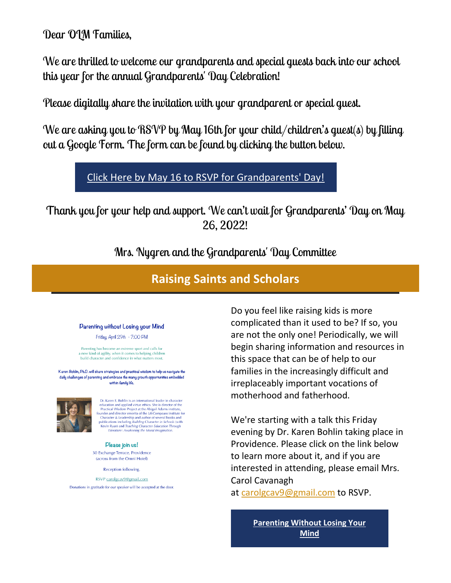Dear OLM Families,

We are thrilled to welcome our grandparents and special guests back into our school this year for the annual Grandparents' Day Celebration!

Please digitally share the invitation with your grandparent or special guest.

We are asking you to RSVP by May 16th for your child/children's quest(s) by filling out a Google Form. The form can be found by clicking the button below.

## [Click Here by May 16 to RSVP for Grandparents' Day!](https://r20.rs6.net/tn.jsp?f=001QyGIctuJK5VNn_qzuPQphhEMa0TG7YF8nqDhuamC-P6caAotSC8MZEqpK3P6qTPDNpcMLIwZr5fykbuaqwFwAWwLiOKHOvqA7EC0l_Ojtsn1p2qHcGhLTFC27rXHybjtI7yw7c8T9fbGeqWfvkvNhBAcKwP6oA_MIYFG986kQE1fBmSe5xSFSS2tqusZfPpikZsw5wgkFfYfs-AuzQcfc7bHxB5xEFR9ESp70zqwJSO74iAtNYFJuat9yj1OSc7A4yKNVps5d6uh4nYJ9aLXPl7SlugexCN-22y37K1h_UQ=&c=&ch=)

Thank you for your help and support. We can't wait for Grandparents' Day on May 26, 2022!

Mrs. Nygren and the Grandparents' Day Committee

# **Raising Saints and Scholars**

#### Parenting without Losing your Mind

Friday, April 29th - 7:00 PM

Parenting has become an extreme sport and calls for a new kind of agility, when it comes to helping children<br>build character and confidence in what matters most.

Karen Bohlin, Ph.D. will share strategies and practical wisdom to help us navigate the daily challenges of parenting and embrace the many growth opportunities embedded within family life.



Dr. Karen E. Bohlin is an international leader in character Dr. Karen L. Bohin is an international leader in character<br>education and applied virtue ethics. She is director of the<br>Practical Wisdom Project at the Abigail Adams institute,<br>founder and director energit and the Life-Com

Please join us! 30 Exchange Terrace, Providence (across from the Omni Hotel)

**Reception following** 

RSVP carolgcav9@gmail.com

Donations in gratitude for our speaker will be accepted at the door.

Do you feel like raising kids is more complicated than it used to be? If so, you are not the only one! Periodically, we will begin sharing information and resources in this space that can be of help to our families in the increasingly difficult and irreplaceably important vocations of motherhood and fatherhood.

We're starting with a talk this Friday evening by Dr. Karen Bohlin taking place in Providence. Please click on the link below to learn more about it, and if you are interested in attending, please email Mrs. Carol Cavanagh at [carolgcav9@gmail.com](mailto:carolgcav9@gmail.com) to RSVP.

> **[Parenting Without Losing Your](https://r20.rs6.net/tn.jsp?f=001QyGIctuJK5VNn_qzuPQphhEMa0TG7YF8nqDhuamC-P6caAotSC8MZP-XUlPURvqR4ucJsEhI4E07n3A21gqmJQIUeidrFoTcMJrfhNnUXcssIN4tRObVhM4n_M-WWeZy8CFV-nFVBh-t1QIVd_NzH56ddFRxu3cd2hr-UjGwpp-d8eQRmiwctyYJLWfH-xF8I67M-v0GXTW3jWy20YYrdETFR1i9IKdGq2rGO-ZtKuw=&c=&ch=)  [Mind](https://r20.rs6.net/tn.jsp?f=001QyGIctuJK5VNn_qzuPQphhEMa0TG7YF8nqDhuamC-P6caAotSC8MZP-XUlPURvqR4ucJsEhI4E07n3A21gqmJQIUeidrFoTcMJrfhNnUXcssIN4tRObVhM4n_M-WWeZy8CFV-nFVBh-t1QIVd_NzH56ddFRxu3cd2hr-UjGwpp-d8eQRmiwctyYJLWfH-xF8I67M-v0GXTW3jWy20YYrdETFR1i9IKdGq2rGO-ZtKuw=&c=&ch=)**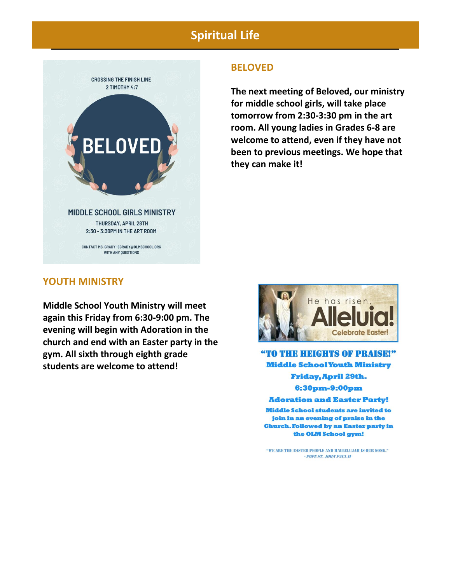# **Spiritual Life**



#### **BELOVED**

**The next meeting of Beloved, our ministry for middle school girls, will take place tomorrow from 2:30-3:30 pm in the art room. All young ladies in Grades 6-8 are welcome to attend, even if they have not been to previous meetings. We hope that they can make it!**

#### **YOUTH MINISTRY**

**Middle School Youth Ministry will meet again this Friday from 6:30-9:00 pm. The evening will begin with Adoration in the church and end with an Easter party in the gym. All sixth through eighth grade students are welcome to attend!**



"TO THE HEIGHTS OF PRAISE!" **Middle School Youth Ministry** Friday, April 29th. 6:30pm-9:00pm **Adoration and Easter Party!** 

**Middle School students are invited to** join in an evening of praise in the **Church. Followed by an Easter party in** the OLM School gym!

"WE ARE THE EASTER PEOPLE AND HALLELUJAH IS OUR SONG." - POPE ST. JOHN PAUL II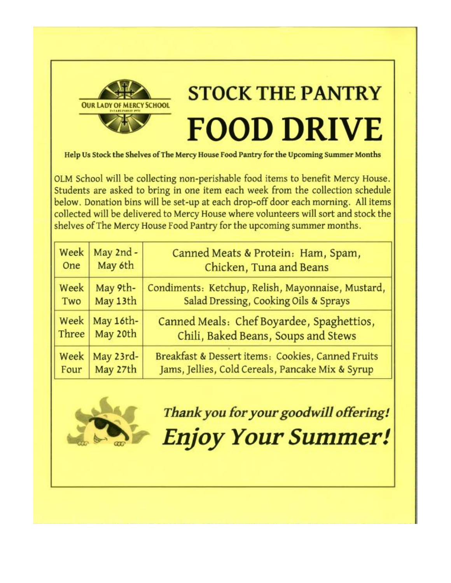

Help Us Stock the Shelves of The Mercy House Food Pantry for the Upcoming Summer Months

OLM School will be collecting non-perishable food items to benefit Mercy House. Students are asked to bring in one item each week from the collection schedule below. Donation bins will be set-up at each drop-off door each morning. All items collected will be delivered to Mercy House where volunteers will sort and stock the shelves of The Mercy House Food Pantry for the upcoming summer months.

| Week  | May 2nd - | Canned Meats & Protein: Ham, Spam,                |
|-------|-----------|---------------------------------------------------|
| One   | May 6th   | Chicken, Tuna and Beans                           |
| Week  | May 9th-  | Condiments: Ketchup, Relish, Mayonnaise, Mustard, |
| Two   | May 13th  | Salad Dressing, Cooking Oils & Sprays             |
| Week  | May 16th- | Canned Meals: Chef Boyardee, Spaghettios,         |
| Three | May 20th  | Chili, Baked Beans, Soups and Stews               |
| Week  | May 23rd- | Breakfast & Dessert items: Cookies, Canned Fruits |
| Four  | May 27th  | Jams, Jellies, Cold Cereals, Pancake Mix & Syrup  |



Thank you for your goodwill offering! **Enjoy Your Summer!**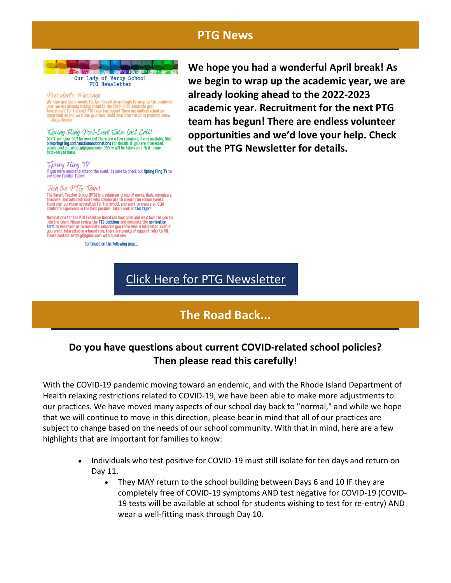## **PTG News**



Presidents Message The space of the scalar property of the scalar property of the scalar space of the scalar property we are already looking ahead to the 2022-2023 academic year. We are already looking ahead to the 2022-2023 academic year o -Gaiua Rerube

Spring Fling Post-Event Sale: Last Call!  $SPKMP + LUPF * VPST - ZVEN = LME : LAS = LAU$ <br>Didn't win your bid? No worries! There are a few remaining items available. Visite<br>olmppring com/auctionanddonations for details. If you are interested,<br>please contact olm/auctionanddonations fo

Spring Fling TV If you were unable to attend the event, be sure to check out Spring Fling TV to see some familiar faces!

#### Join the PTG Team!

The Parent Teacher Group (PTG) is a volunteer group of moms, dads, caregivers,<br>teachers, and administrators who collaborate to create fun school events,<br>fundraise, purchase necessities for the school, and work to ensure an

Nominations for the PTG Executive Board are now open and we'd love for you to Nominations for the PTG Executive Board are now open and we'd love for you<br>join the team! Please review the PTG positions and complete the nomination<br>form to volunteer or to nominate someone you know who is interested. Eve ..<br>»n if

Continued on the following page...

**We hope you had a wonderful April break! As we begin to wrap up the academic year, we are already looking ahead to the 2022-2023 academic year. Recruitment for the next PTG team has begun! There are endless volunteer opportunities and we'd love your help. Check out the PTG Newsletter for details.**

## [Click Here for PTG Newsletter](https://r20.rs6.net/tn.jsp?f=001QyGIctuJK5VNn_qzuPQphhEMa0TG7YF8nqDhuamC-P6caAotSC8MZP-XUlPURvqRz-UdZVQTx5sOKo3GRpQOw_ICp6p6XmFzKjcS03G82Ft3gTb5NIIz4sJKePU1IkgRh2zcnnpRMJ5Fe-J6WSGyB6k8ArtzxRij1kJtUOnE_tHfy8uQhhYIkgqC4GT3SrX4OzyV0We4w_4AB5ZsPX8jWPZP8gzrqanQZa1PFztL9yQ=&c=&ch=)

# **The Road Back...**

## **Do you have questions about current COVID-related school policies? Then please read this carefully!**

With the COVID-19 pandemic moving toward an endemic, and with the Rhode Island Department of Health relaxing restrictions related to COVID-19, we have been able to make more adjustments to our practices. We have moved many aspects of our school day back to "normal," and while we hope that we will continue to move in this direction, please bear in mind that all of our practices are subject to change based on the needs of our school community. With that in mind, here are a few highlights that are important for families to know:

- Individuals who test positive for COVID-19 must still isolate for ten days and return on Day 11.
	- They MAY return to the school building between Days 6 and 10 IF they are completely free of COVID-19 symptoms AND test negative for COVID-19 (COVID-19 tests will be available at school for students wishing to test for re-entry) AND wear a well-fitting mask through Day 10.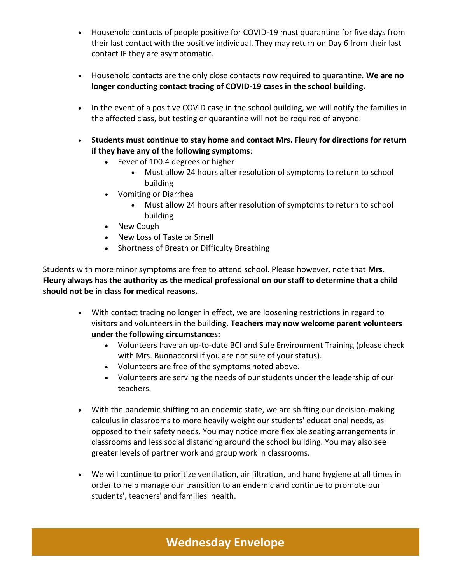- Household contacts of people positive for COVID-19 must quarantine for five days from their last contact with the positive individual. They may return on Day 6 from their last contact IF they are asymptomatic.
- Household contacts are the only close contacts now required to quarantine. **We are no longer conducting contact tracing of COVID-19 cases in the school building.**
- In the event of a positive COVID case in the school building, we will notify the families in the affected class, but testing or quarantine will not be required of anyone.
- **Students must continue to stay home and contact Mrs. Fleury for directions for return if they have any of the following symptoms**:
	- Fever of 100.4 degrees or higher
		- Must allow 24 hours after resolution of symptoms to return to school building
	- Vomiting or Diarrhea
		- Must allow 24 hours after resolution of symptoms to return to school building
	- New Cough
	- New Loss of Taste or Smell
	- Shortness of Breath or Difficulty Breathing

Students with more minor symptoms are free to attend school. Please however, note that **Mrs. Fleury always has the authority as the medical professional on our staff to determine that a child should not be in class for medical reasons.**

- With contact tracing no longer in effect, we are loosening restrictions in regard to visitors and volunteers in the building. **Teachers may now welcome parent volunteers under the following circumstances:**
	- Volunteers have an up-to-date BCI and Safe Environment Training (please check with Mrs. Buonaccorsi if you are not sure of your status).
	- Volunteers are free of the symptoms noted above.
	- Volunteers are serving the needs of our students under the leadership of our teachers.
- With the pandemic shifting to an endemic state, we are shifting our decision-making calculus in classrooms to more heavily weight our students' educational needs, as opposed to their safety needs. You may notice more flexible seating arrangements in classrooms and less social distancing around the school building. You may also see greater levels of partner work and group work in classrooms.
- We will continue to prioritize ventilation, air filtration, and hand hygiene at all times in order to help manage our transition to an endemic and continue to promote our students', teachers' and families' health.